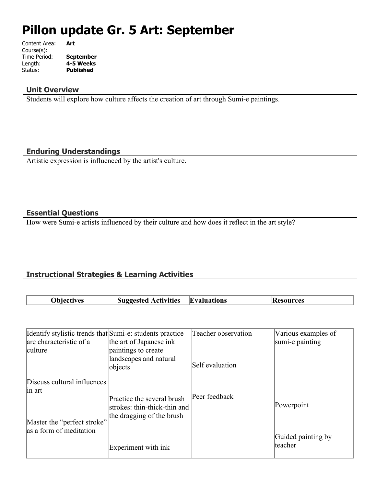# **Pillon update Gr. 5 Art: September**

| Content Area: | Art              |
|---------------|------------------|
| Course(s):    |                  |
| Time Period:  | <b>September</b> |
| Length:       | 4-5 Weeks        |
| Status:       | Published        |
|               |                  |

#### **Unit Overview**

Students will explore how culture affects the creation of art through Sumi-e paintings.

#### **Enduring Understandings**

Artistic expression is influenced by the artist's culture.

## **Essential Questions**

How were Sumi-e artists influenced by their culture and how does it reflect in the art style?

# **Instructional Strategies & Learning Activities**

| $\cdot$<br>vities<br>.<br><u>__</u> | $-2$ $-2$<br> | nε<br>- 17<br>- - - |
|-------------------------------------|---------------|---------------------|
|                                     |               |                     |

| Identify stylistic trends that Sumi-e: students practice |                                                                                         | Teacher observation | Various examples of |
|----------------------------------------------------------|-----------------------------------------------------------------------------------------|---------------------|---------------------|
| are characteristic of a                                  | the art of Japanese ink                                                                 |                     | sumi-e painting     |
| culture                                                  | paintings to create                                                                     |                     |                     |
|                                                          | landscapes and natural<br>objects                                                       | Self evaluation     |                     |
| Discuss cultural influences                              |                                                                                         |                     |                     |
| in art                                                   |                                                                                         |                     |                     |
|                                                          | Practice the several brush<br>strokes: thin-thick-thin and<br>the dragging of the brush | Peer feedback       | Powerpoint          |
| Master the "perfect stroke"                              |                                                                                         |                     |                     |
| as a form of meditation                                  |                                                                                         |                     | Guided painting by  |
|                                                          | Experiment with ink                                                                     |                     | teacher             |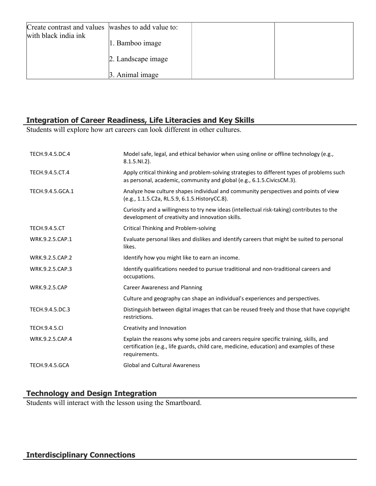| Create contrast and values washes to add value to:<br>with black india ink |                        |  |
|----------------------------------------------------------------------------|------------------------|--|
|                                                                            | 1. Bamboo image        |  |
|                                                                            | 2. Landscape image     |  |
|                                                                            | $\beta$ . Animal image |  |

# **Integration of Career Readiness, Life Literacies and Key Skills**

Students will explore how art careers can look different in other cultures.

| TECH.9.4.5.DC.4       | Model safe, legal, and ethical behavior when using online or offline technology (e.g.,<br>$8.1.5.NI.2$ ).                                                                                         |
|-----------------------|---------------------------------------------------------------------------------------------------------------------------------------------------------------------------------------------------|
| TECH.9.4.5.CT.4       | Apply critical thinking and problem-solving strategies to different types of problems such<br>as personal, academic, community and global (e.g., 6.1.5. Civics CM.3).                             |
| TECH.9.4.5.GCA.1      | Analyze how culture shapes individual and community perspectives and points of view<br>(e.g., 1.1.5.C2a, RL.5.9, 6.1.5. HistoryCC.8).                                                             |
|                       | Curiosity and a willingness to try new ideas (intellectual risk-taking) contributes to the<br>development of creativity and innovation skills.                                                    |
| <b>TECH.9.4.5.CT</b>  | Critical Thinking and Problem-solving                                                                                                                                                             |
| WRK.9.2.5.CAP.1       | Evaluate personal likes and dislikes and identify careers that might be suited to personal<br>likes.                                                                                              |
| WRK.9.2.5.CAP.2       | Identify how you might like to earn an income.                                                                                                                                                    |
| WRK.9.2.5.CAP.3       | Identify qualifications needed to pursue traditional and non-traditional careers and<br>occupations.                                                                                              |
| <b>WRK.9.2.5.CAP</b>  | <b>Career Awareness and Planning</b>                                                                                                                                                              |
|                       | Culture and geography can shape an individual's experiences and perspectives.                                                                                                                     |
| TECH.9.4.5.DC.3       | Distinguish between digital images that can be reused freely and those that have copyright<br>restrictions.                                                                                       |
| <b>TECH.9.4.5.CI</b>  | Creativity and Innovation                                                                                                                                                                         |
| WRK.9.2.5.CAP.4       | Explain the reasons why some jobs and careers require specific training, skills, and<br>certification (e.g., life guards, child care, medicine, education) and examples of these<br>requirements. |
| <b>TECH.9.4.5.GCA</b> | <b>Global and Cultural Awareness</b>                                                                                                                                                              |

# **Technology and Design Integration**

Students will interact with the lesson using the Smartboard.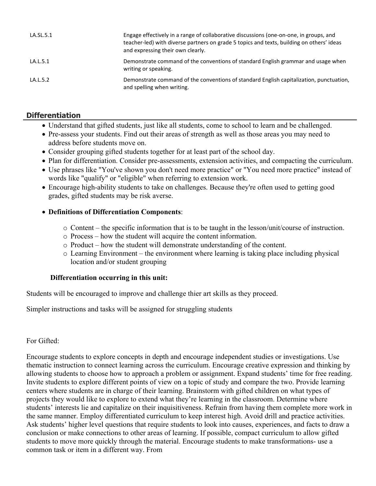| LA.SL.5.1 | Engage effectively in a range of collaborative discussions (one-on-one, in groups, and<br>teacher-led) with diverse partners on grade 5 topics and texts, building on others' ideas<br>and expressing their own clearly. |
|-----------|--------------------------------------------------------------------------------------------------------------------------------------------------------------------------------------------------------------------------|
| LA.L.5.1  | Demonstrate command of the conventions of standard English grammar and usage when<br>writing or speaking.                                                                                                                |
| LA.L.5.2  | Demonstrate command of the conventions of standard English capitalization, punctuation,<br>and spelling when writing.                                                                                                    |

# **Differentiation**

- Understand that gifted students, just like all students, come to school to learn and be challenged.
- Pre-assess your students. Find out their areas of strength as well as those areas you may need to address before students move on.
- Consider grouping gifted students together for at least part of the school day.
- Plan for differentiation. Consider pre-assessments, extension activities, and compacting the curriculum.
- Use phrases like "You've shown you don't need more practice" or "You need more practice" instead of words like "qualify" or "eligible" when referring to extension work.
- Encourage high-ability students to take on challenges. Because they're often used to getting good grades, gifted students may be risk averse.

#### **Definitions of Differentiation Components**:

- $\circ$  Content the specific information that is to be taught in the lesson/unit/course of instruction.
- o Process how the student will acquire the content information.
- o Product how the student will demonstrate understanding of the content.
- o Learning Environment the environment where learning is taking place including physical location and/or student grouping

#### **Differentiation occurring in this unit:**

Students will be encouraged to improve and challenge thier art skills as they proceed.

Simpler instructions and tasks will be assigned for struggling students

#### For Gifted:

Encourage students to explore concepts in depth and encourage independent studies or investigations. Use thematic instruction to connect learning across the curriculum. Encourage creative expression and thinking by allowing students to choose how to approach a problem or assignment. Expand students' time for free reading. Invite students to explore different points of view on a topic of study and compare the two. Provide learning centers where students are in charge of their learning. Brainstorm with gifted children on what types of projects they would like to explore to extend what they're learning in the classroom. Determine where students' interests lie and capitalize on their inquisitiveness. Refrain from having them complete more work in the same manner. Employ differentiated curriculum to keep interest high. Avoid drill and practice activities. Ask students' higher level questions that require students to look into causes, experiences, and facts to draw a conclusion or make connections to other areas of learning. If possible, compact curriculum to allow gifted students to move more quickly through the material. Encourage students to make transformations- use a common task or item in a different way. From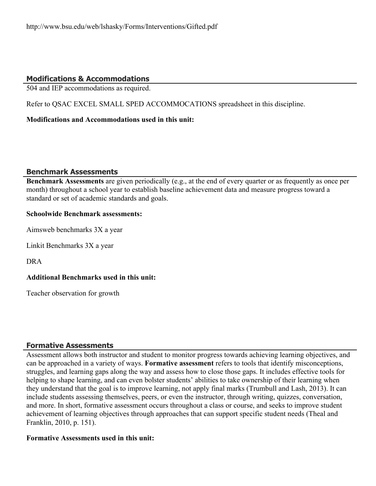## **Modifications & Accommodations**

504 and IEP accommodations as required.

Refer to QSAC EXCEL SMALL SPED ACCOMMOCATIONS spreadsheet in this discipline.

#### **Modifications and Accommodations used in this unit:**

#### **Benchmark Assessments**

**Benchmark Assessments** are given periodically (e.g., at the end of every quarter or as frequently as once per month) throughout a school year to establish baseline achievement data and measure progress toward a standard or set of academic standards and goals.

#### **Schoolwide Benchmark assessments:**

Aimsweb benchmarks 3X a year

Linkit Benchmarks 3X a year

DRA

#### **Additional Benchmarks used in this unit:**

Teacher observation for growth

# **Formative Assessments**

Assessment allows both instructor and student to monitor progress towards achieving learning objectives, and can be approached in a variety of ways. **Formative assessment** refers to tools that identify misconceptions, struggles, and learning gaps along the way and assess how to close those gaps. It includes effective tools for helping to shape learning, and can even bolster students' abilities to take ownership of their learning when they understand that the goal is to improve learning, not apply final marks (Trumbull and Lash, 2013). It can include students assessing themselves, peers, or even the instructor, through writing, quizzes, conversation, and more. In short, formative assessment occurs throughout a class or course, and seeks to improve student achievement of learning objectives through approaches that can support specific student needs (Theal and Franklin, 2010, p. 151).

#### **Formative Assessments used in this unit:**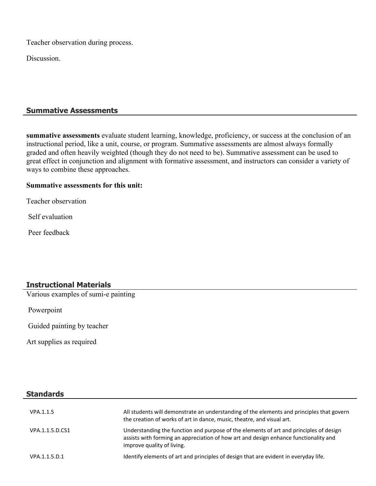Teacher observation during process.

Discussion.

## **Summative Assessments**

**summative assessments** evaluate student learning, knowledge, proficiency, or success at the conclusion of an instructional period, like a unit, course, or program. Summative assessments are almost always formally graded and often heavily weighted (though they do not need to be). Summative assessment can be used to great effect in conjunction and alignment with formative assessment, and instructors can consider a variety of ways to combine these approaches.

#### **Summative assessments for this unit:**

Teacher observation

Self evaluation

Peer feedback

# **Instructional Materials**

Various examples of sumi-e painting

Powerpoint

Guided painting by teacher

Art supplies as required

# **Standards**

| VPA.1.1.5       | All students will demonstrate an understanding of the elements and principles that govern<br>the creation of works of art in dance, music, theatre, and visual art.                                          |
|-----------------|--------------------------------------------------------------------------------------------------------------------------------------------------------------------------------------------------------------|
| VPA.1.1.5.D.CS1 | Understanding the function and purpose of the elements of art and principles of design<br>assists with forming an appreciation of how art and design enhance functionality and<br>improve quality of living. |
| VPA.1.1.5.D.1   | Identify elements of art and principles of design that are evident in everyday life.                                                                                                                         |